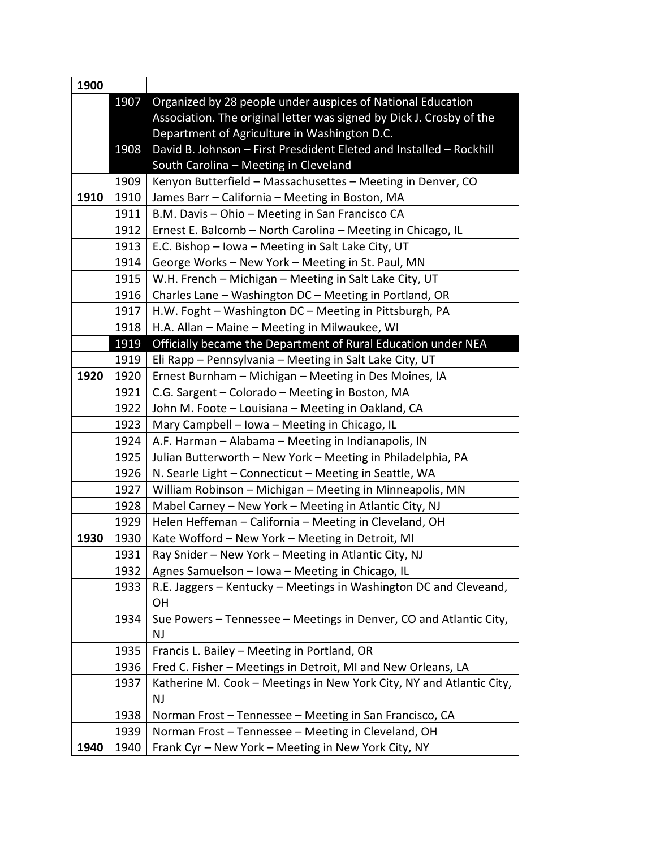| 1900 |      |                                                                      |
|------|------|----------------------------------------------------------------------|
|      | 1907 | Organized by 28 people under auspices of National Education          |
|      |      | Association. The original letter was signed by Dick J. Crosby of the |
|      |      | Department of Agriculture in Washington D.C.                         |
|      | 1908 | David B. Johnson - First Presdident Eleted and Installed - Rockhill  |
|      |      | South Carolina - Meeting in Cleveland                                |
|      | 1909 | Kenyon Butterfield - Massachusettes - Meeting in Denver, CO          |
| 1910 | 1910 | James Barr - California - Meeting in Boston, MA                      |
|      | 1911 | B.M. Davis - Ohio - Meeting in San Francisco CA                      |
|      | 1912 | Ernest E. Balcomb - North Carolina - Meeting in Chicago, IL          |
|      | 1913 | E.C. Bishop - Iowa - Meeting in Salt Lake City, UT                   |
|      | 1914 | George Works - New York - Meeting in St. Paul, MN                    |
|      | 1915 | W.H. French - Michigan - Meeting in Salt Lake City, UT               |
|      | 1916 | Charles Lane - Washington DC - Meeting in Portland, OR               |
|      | 1917 | H.W. Foght - Washington DC - Meeting in Pittsburgh, PA               |
|      | 1918 | H.A. Allan - Maine - Meeting in Milwaukee, WI                        |
|      | 1919 | Officially became the Department of Rural Education under NEA        |
|      | 1919 | Eli Rapp - Pennsylvania - Meeting in Salt Lake City, UT              |
| 1920 | 1920 | Ernest Burnham - Michigan - Meeting in Des Moines, IA                |
|      | 1921 | C.G. Sargent - Colorado - Meeting in Boston, MA                      |
|      | 1922 | John M. Foote - Louisiana - Meeting in Oakland, CA                   |
|      | 1923 | Mary Campbell - Iowa - Meeting in Chicago, IL                        |
|      | 1924 | A.F. Harman - Alabama - Meeting in Indianapolis, IN                  |
|      | 1925 | Julian Butterworth - New York - Meeting in Philadelphia, PA          |
|      | 1926 | N. Searle Light - Connecticut - Meeting in Seattle, WA               |
|      | 1927 | William Robinson - Michigan - Meeting in Minneapolis, MN             |
|      | 1928 | Mabel Carney - New York - Meeting in Atlantic City, NJ               |
|      | 1929 | Helen Heffeman - California - Meeting in Cleveland, OH               |
| 1930 | 1930 | Kate Wofford - New York - Meeting in Detroit, MI                     |
|      | 1931 | Ray Snider - New York - Meeting in Atlantic City, NJ                 |
|      | 1932 | Agnes Samuelson - Iowa - Meeting in Chicago, IL                      |
|      | 1933 | R.E. Jaggers - Kentucky - Meetings in Washington DC and Cleveand,    |
|      |      | OH                                                                   |
|      | 1934 | Sue Powers - Tennessee - Meetings in Denver, CO and Atlantic City,   |
|      |      | <b>NJ</b>                                                            |
|      | 1935 | Francis L. Bailey - Meeting in Portland, OR                          |
|      | 1936 | Fred C. Fisher - Meetings in Detroit, MI and New Orleans, LA         |
|      | 1937 | Katherine M. Cook - Meetings in New York City, NY and Atlantic City, |
|      |      | <b>NJ</b>                                                            |
|      | 1938 | Norman Frost - Tennessee - Meeting in San Francisco, CA              |
|      | 1939 | Norman Frost - Tennessee - Meeting in Cleveland, OH                  |
| 1940 | 1940 | Frank Cyr - New York - Meeting in New York City, NY                  |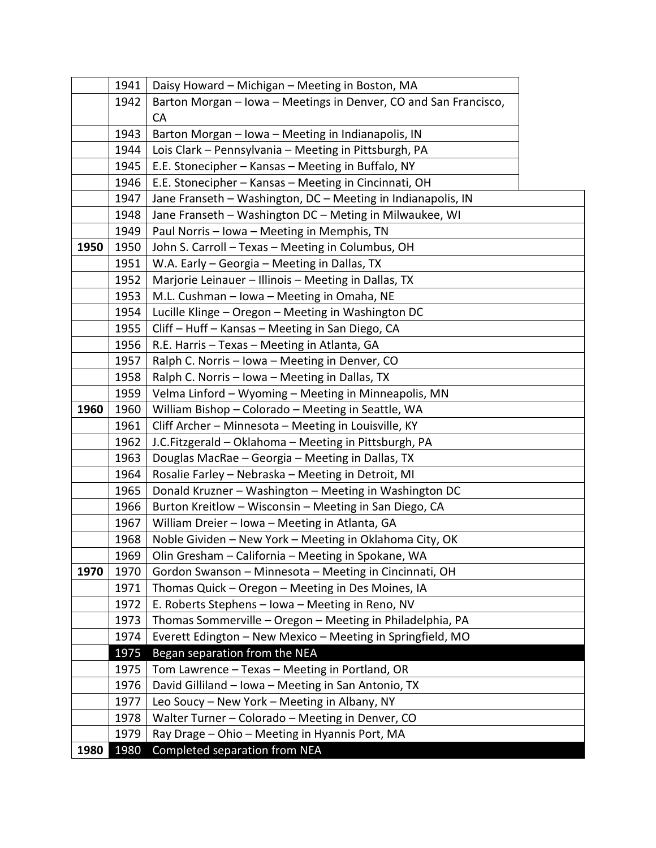|      | 1941 | Daisy Howard - Michigan - Meeting in Boston, MA                  |
|------|------|------------------------------------------------------------------|
|      | 1942 | Barton Morgan - Iowa - Meetings in Denver, CO and San Francisco, |
|      |      | <b>CA</b>                                                        |
|      | 1943 | Barton Morgan - Iowa - Meeting in Indianapolis, IN               |
|      | 1944 | Lois Clark - Pennsylvania - Meeting in Pittsburgh, PA            |
|      | 1945 | E.E. Stonecipher - Kansas - Meeting in Buffalo, NY               |
|      | 1946 | E.E. Stonecipher - Kansas - Meeting in Cincinnati, OH            |
|      | 1947 | Jane Franseth - Washington, DC - Meeting in Indianapolis, IN     |
|      | 1948 | Jane Franseth - Washington DC - Meting in Milwaukee, WI          |
|      | 1949 | Paul Norris - Iowa - Meeting in Memphis, TN                      |
| 1950 | 1950 | John S. Carroll - Texas - Meeting in Columbus, OH                |
|      | 1951 | W.A. Early - Georgia - Meeting in Dallas, TX                     |
|      | 1952 | Marjorie Leinauer - Illinois - Meeting in Dallas, TX             |
|      | 1953 | M.L. Cushman - Iowa - Meeting in Omaha, NE                       |
|      | 1954 | Lucille Klinge - Oregon - Meeting in Washington DC               |
|      | 1955 | Cliff - Huff - Kansas - Meeting in San Diego, CA                 |
|      | 1956 | R.E. Harris - Texas - Meeting in Atlanta, GA                     |
|      | 1957 | Ralph C. Norris - Iowa - Meeting in Denver, CO                   |
|      | 1958 | Ralph C. Norris - Iowa - Meeting in Dallas, TX                   |
|      | 1959 | Velma Linford - Wyoming - Meeting in Minneapolis, MN             |
| 1960 | 1960 | William Bishop - Colorado - Meeting in Seattle, WA               |
|      | 1961 | Cliff Archer - Minnesota - Meeting in Louisville, KY             |
|      | 1962 | J.C.Fitzgerald - Oklahoma - Meeting in Pittsburgh, PA            |
|      | 1963 | Douglas MacRae - Georgia - Meeting in Dallas, TX                 |
|      | 1964 | Rosalie Farley - Nebraska - Meeting in Detroit, MI               |
|      | 1965 | Donald Kruzner - Washington - Meeting in Washington DC           |
|      | 1966 | Burton Kreitlow - Wisconsin - Meeting in San Diego, CA           |
|      | 1967 | William Dreier - Iowa - Meeting in Atlanta, GA                   |
|      | 1968 | Noble Gividen - New York - Meeting in Oklahoma City, OK          |
|      | 1969 | Olin Gresham - California - Meeting in Spokane, WA               |
| 1970 | 1970 | Gordon Swanson - Minnesota - Meeting in Cincinnati, OH           |
|      | 1971 | Thomas Quick - Oregon - Meeting in Des Moines, IA                |
|      | 1972 | E. Roberts Stephens - Iowa - Meeting in Reno, NV                 |
|      | 1973 | Thomas Sommerville - Oregon - Meeting in Philadelphia, PA        |
|      | 1974 | Everett Edington - New Mexico - Meeting in Springfield, MO       |
|      | 1975 | Began separation from the NEA                                    |
|      | 1975 | Tom Lawrence - Texas - Meeting in Portland, OR                   |
|      | 1976 | David Gilliland - Iowa - Meeting in San Antonio, TX              |
|      | 1977 | Leo Soucy - New York - Meeting in Albany, NY                     |
|      | 1978 | Walter Turner - Colorado - Meeting in Denver, CO                 |
|      | 1979 | Ray Drage - Ohio - Meeting in Hyannis Port, MA                   |
| 1980 | 1980 | Completed separation from NEA                                    |